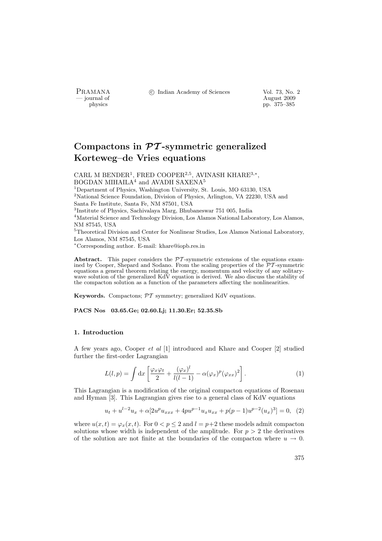PRAMANA °c Indian Academy of Sciences Vol. 73, No. 2

position of the contract of the contract of the contract 2009 physics and the contract of the contract 2009 pp. 375–385 pp. 375–385

# Compactons in  $\mathcal{P}\mathcal{T}$ -symmetric generalized Korteweg–de Vries equations

CARL M BENDER<sup>1</sup>, FRED COOPER<sup>2,5</sup>, AVINASH KHARE<sup>3,\*</sup>, BOGDAN MIHAILA<sup>4</sup> and AVADH SAXENA<sup>5</sup>

Department of Physics, Washington University, St. Louis, MO 63130, USA National Science Foundation, Division of Physics, Arlington, VA 22230, USA and Santa Fe Institute, Santa Fe, NM 87501, USA Institute of Physics, Sachivalaya Marg, Bhubaneswar 751 005, India

<sup>4</sup>Material Science and Technology Division, Los Alamos National Laboratory, Los Alamos, NM 87545, USA

 ${\rm ^5Theoretical}$  Division and Center for Nonlinear Studies, Los Alamos National Laboratory, Los Alamos, NM 87545, USA

<sup>∗</sup>Corresponding author. E-mail: khare@iopb.res.in

Abstract. This paper considers the  $\mathcal{P}T$ -symmetric extensions of the equations examined by Cooper, Shepard and Sodano. From the scaling properties of the  $\mathcal{PT}$ -symmetric equations a general theorem relating the energy, momentum and velocity of any solitarywave solution of the generalized KdV equation is derived. We also discuss the stability of the compacton solution as a function of the parameters affecting the nonlinearities.

Keywords. Compactons;  $\mathcal{PT}$  symmetry; generalized KdV equations.

#### PACS Nos 03.65.Ge; 02.60.Lj; 11.30.Er; 52.35.Sb

#### 1. Introduction

A few years ago, Cooper et al [1] introduced and Khare and Cooper [2] studied further the first-order Lagrangian

$$
L(l,p) = \int dx \left[ \frac{\varphi_x \varphi_t}{2} + \frac{(\varphi_x)^l}{l(l-1)} - \alpha(\varphi_x)^p (\varphi_{xx})^2 \right]. \tag{1}
$$

This Lagrangian is a modification of the original compacton equations of Rosenau and Hyman [3]. This Lagrangian gives rise to a general class of KdV equations

$$
u_t + u^{l-2}u_x + \alpha [2u^p u_{xxx} + 4pu^{p-1} u_x u_{xx} + p(p-1)u^{p-2}(u_x)^3] = 0, (2)
$$

where  $u(x,t) = \varphi_x(x,t)$ . For  $0 < p \le 2$  and  $l = p+2$  these models admit compacton solutions whose width is independent of the amplitude. For  $p > 2$  the derivatives of the solution are not finite at the boundaries of the compacton where  $u \to 0$ .

375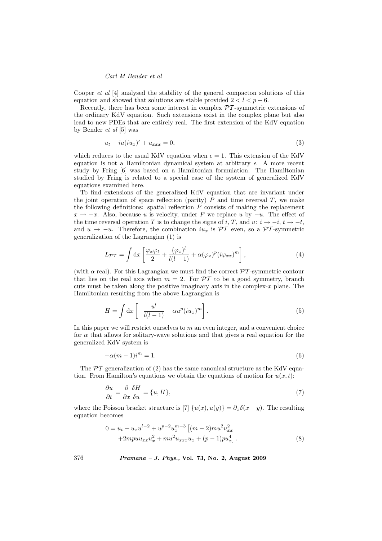Cooper *et al* [4] analysed the stability of the general compacton solutions of this equation and showed that solutions are stable provided  $2 < l < p+6$ .

Recently, there has been some interest in complex  $\mathcal{PT}$ -symmetric extensions of the ordinary KdV equation. Such extensions exist in the complex plane but also lead to new PDEs that are entirely real. The first extension of the KdV equation by Bender et al [5] was

$$
u_t - iu(iu_x)^{\epsilon} + u_{xxx} = 0,\t\t(3)
$$

which reduces to the usual KdV equation when  $\epsilon = 1$ . This extension of the KdV equation is not a Hamiltonian dynamical system at arbitrary  $\epsilon$ . A more recent study by Fring [6] was based on a Hamiltonian formulation. The Hamiltonian studied by Fring is related to a special case of the system of generalized KdV equations examined here.

To find extensions of the generalized KdV equation that are invariant under the joint operation of space reflection (parity)  $P$  and time reversal  $T$ , we make the following definitions: spatial reflection  $P$  consists of making the replacement  $x \rightarrow -x$ . Also, because u is velocity, under P we replace u by  $-u$ . The effect of the time reversal operation T is to change the signs of i, T, and u:  $i \rightarrow -i$ ,  $t \rightarrow -t$ , and  $u \to -u$ . Therefore, the combination  $iu_x$  is  $\mathcal{PT}$  even, so a  $\mathcal{PT}$ -symmetric generalization of the Lagrangian (1) is

$$
L_{\mathcal{PT}} = \int dx \left[ \frac{\varphi_x \varphi_t}{2} + \frac{(\varphi_x)^l}{l(l-1)} + \alpha (\varphi_x)^p (i\varphi_{xx})^m \right],
$$
 (4)

(with  $\alpha$  real). For this Lagrangian we must find the correct  $\beta$ T-symmetric contour that lies on the real axis when  $m = 2$ . For  $\mathcal{PT}$  to be a good symmetry, branch cuts must be taken along the positive imaginary axis in the complex- $x$  plane. The Hamiltonian resulting from the above Lagrangian is

$$
H = \int dx \left[ -\frac{u^l}{l(l-1)} - \alpha u^p (iu_x)^m \right].
$$
 (5)

In this paper we will restrict ourselves to  $m$  an even integer, and a convenient choice for  $\alpha$  that allows for solitary-wave solutions and that gives a real equation for the generalized KdV system is

$$
-\alpha(m-1)i^m = 1.\t\t(6)
$$

The  $\mathcal{PT}$  generalization of (2) has the same canonical structure as the KdV equation. From Hamilton's equations we obtain the equations of motion for  $u(x, t)$ :

$$
\frac{\partial u}{\partial t} = \frac{\partial}{\partial x} \frac{\delta H}{\delta u} = \{u, H\},\tag{7}
$$

where the Poisson bracket structure is [7]  $\{u(x), u(y)\} = \partial_x \delta(x - y)$ . The resulting equation becomes

$$
0 = u_t + u_x u^{l-2} + u^{p-2} u_x^{m-3} \left[ (m-2) m u^2 u_{xx}^2 + 2 m p u u_{xx} u_x^2 + m u^2 u_{xxx} u_x + (p-1) p u_x^4 \right].
$$
\n(8)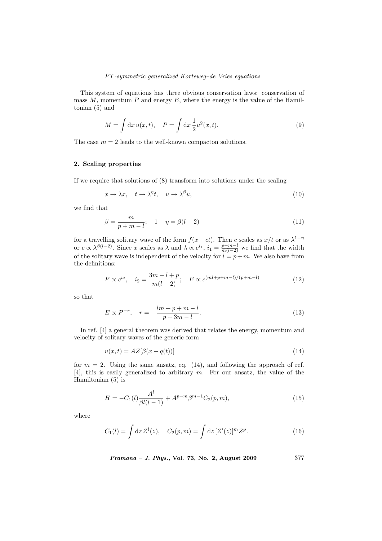This system of equations has three obvious conservation laws: conservation of mass  $M$ , momentum  $P$  and energy  $E$ , where the energy is the value of the Hamiltonian (5) and

$$
M = \int dx \, u(x, t), \quad P = \int dx \, \frac{1}{2} u^2(x, t).
$$
 (9)

The case  $m = 2$  leads to the well-known compacton solutions.

#### 2. Scaling properties

If we require that solutions of (8) transform into solutions under the scaling

$$
x \to \lambda x, \quad t \to \lambda^{\eta} t, \quad u \to \lambda^{\beta} u,
$$
\n(10)

we find that

$$
\beta = \frac{m}{p+m-l}; \quad 1 - \eta = \beta(l-2)
$$
\n(11)

for a travelling solitary wave of the form  $f(x-ct)$ . Then c scales as  $x/t$  or as  $\lambda^{1-\eta}$ or  $c \propto \lambda^{\beta(l-2)}$ . Since x scales as  $\lambda$  and  $\lambda \propto c^{i_1}$ ,  $i_1 = \frac{p+m-l}{m(l-2)}$  we find that the width of the solitary wave is independent of the velocity for  $l = p+m$ . We also have from the definitions:

$$
P \propto c^{i_2}, \quad i_2 = \frac{3m - l + p}{m(l - 2)}; \quad E \propto c^{(ml + p + m - l)/(p + m - l)} \tag{12}
$$

so that

$$
E \propto P^{-r}; \quad r = -\frac{lm + p + m - l}{p + 3m - l}.
$$
\n(13)

In ref. [4] a general theorem was derived that relates the energy, momentum and velocity of solitary waves of the generic form

$$
u(x,t) = AZ[\beta(x - q(t))]
$$
\n(14)

for  $m = 2$ . Using the same ansatz, eq. (14), and following the approach of ref. [4], this is easily generalized to arbitrary m. For our ansatz, the value of the Hamiltonian (5) is

$$
H = -C_1(l)\frac{A^l}{\beta l(l-1)} + A^{p+m}\beta^{m-1}C_2(p,m),\tag{15}
$$

where

$$
C_1(l) = \int dz Z^l(z), \quad C_2(p,m) = \int dz [Z'(z)]^m Z^p.
$$
 (16)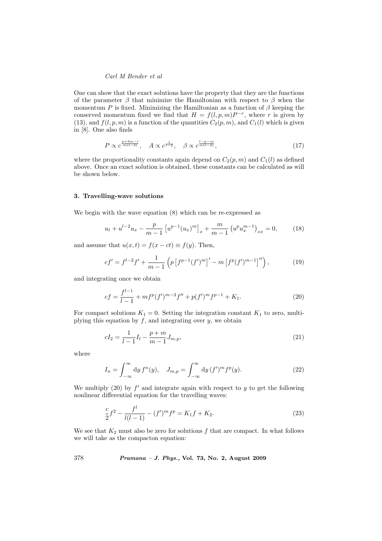One can show that the exact solutions have the property that they are the functions of the parameter  $\beta$  that minimize the Hamiltonian with respect to  $\beta$  when the momentum P is fixed. Minimizing the Hamiltonian as a function of  $\beta$  keeping the conserved momentum fixed we find that  $H = f(l, p, m)P^{-r}$ , where r is given by (13), and  $f(l, p, m)$  is a function of the quantities  $C_2(p, m)$ , and  $C_1(l)$  which is given in [8]. One also finds

$$
P \propto c^{\frac{p+3m-l}{m(l-2)}}, \quad A \propto c^{\frac{1}{l-2}}, \quad \beta \propto c^{\frac{l-p-m}{m(l-2)}}, \tag{17}
$$

where the proportionality constants again depend on  $C_2(p, m)$  and  $C_1(l)$  as defined above. Once an exact solution is obtained, these constants can be calculated as will be shown below.

#### 3. Travelling-wave solutions

We begin with the wave equation (8) which can be re-expressed as

$$
u_t + u^{l-2}u_x - \frac{p}{m-1} \left[ u^{p-1}(u_x)^m \right]_x + \frac{m}{m-1} \left( u^p u_x^{m-1} \right)_{xx} = 0, \quad (18)
$$

and assume that  $u(x,t) = f(x - ct) \equiv f(y)$ . Then,

$$
cf' = f^{l-2}f' + \frac{1}{m-1} \left( p \left[ f^{p-1}(f')^m \right]' - m \left[ f^p(f')^{m-1} \right]'' \right), \tag{19}
$$

and integrating once we obtain

$$
cf = \frac{f^{l-1}}{l-1} + mf^p(f')^{m-2}f'' + p(f')^m f^{p-1} + K_1.
$$
\n(20)

For compact solutions  $K_1 = 0$ . Setting the integration constant  $K_1$  to zero, multiplying this equation by  $f$ , and integrating over  $y$ , we obtain

$$
cI_2 = \frac{1}{l-1}I_l - \frac{p+m}{m-1}J_{m,p},\tag{21}
$$

where

$$
I_n = \int_{-\infty}^{\infty} dy f^n(y), \quad J_{m,p} = \int_{-\infty}^{\infty} dy (f')^m f^p(y).
$$
 (22)

We multiply  $(20)$  by  $f'$  and integrate again with respect to y to get the following nonlinear differential equation for the travelling waves:

$$
\frac{c}{2}f^2 - \frac{f^l}{l(l-1)} - (f')^m f^p = K_1 f + K_2.
$$
\n(23)

We see that  $K_2$  must also be zero for solutions  $f$  that are compact. In what follows we will take as the compacton equation: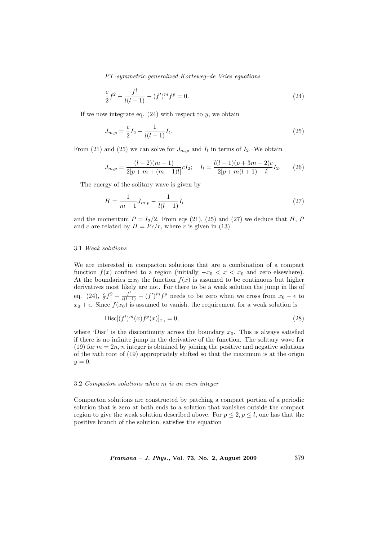$$
\frac{c}{2}f^2 - \frac{f^l}{l(l-1)} - (f')^m f^p = 0.
$$
\n(24)

If we now integrate eq.  $(24)$  with respect to y, we obtain

$$
J_{m,p} = \frac{c}{2}I_2 - \frac{1}{l(l-1)}I_l.
$$
\n(25)

From (21) and (25) we can solve for  $J_{m,p}$  and  $I_l$  in terms of  $I_2$ . We obtain

$$
J_{m,p} = \frac{(l-2)(m-1)}{2[p+m+(m-1)l]} c I_2; \quad I_l = \frac{l(l-1)(p+3m-2)c}{2[p+m(l+1)-l]} I_2.
$$
 (26)

The energy of the solitary wave is given by

$$
H = \frac{1}{m-1} J_{m,p} - \frac{1}{l(l-1)} I_l
$$
\n(27)

and the momentum  $P = I_2/2$ . From eqs (21), (25) and (27) we deduce that H, P and c are related by  $H = Pc/r$ , where r is given in (13).

#### 3.1 Weak solutions

We are interested in compacton solutions that are a combination of a compact function  $f(x)$  confined to a region (initially  $-x_0 < x < x_0$  and zero elsewhere). At the boundaries  $\pm x_0$  the function  $f(x)$  is assumed to be continuous but higher derivatives most likely are not. For there to be a weak solution the jump in lhs of eq. (24),  $\frac{c}{2}f^2 - \frac{f^l}{l(l-1)} - (f')^m f^p$  needs to be zero when we cross from  $x_0 - \epsilon$  to  $x_0 + \epsilon$ . Since  $f(x_0)$  is assumed to vanish, the requirement for a weak solution is

$$
Disc[(f')^{m}(x) f^{p}(x)]_{x_0} = 0,
$$
\n(28)

where 'Disc' is the discontinuity across the boundary  $x_0$ . This is always satisfied if there is no infinite jump in the derivative of the function. The solitary wave for (19) for  $m = 2n$ , *n* integer is obtained by joining the positive and negative solutions of the mth root of (19) appropriately shifted so that the maximum is at the origin  $y=0.$ 

#### 3.2 Compacton solutions when m is an even integer

Compacton solutions are constructed by patching a compact portion of a periodic solution that is zero at both ends to a solution that vanishes outside the compact region to give the weak solution described above. For  $p \leq 2, p \leq l$ , one has that the positive branch of the solution, satisfies the equation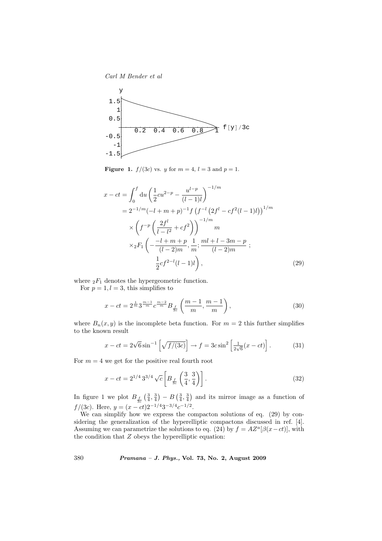

**Figure 1.**  $f/(3c)$  vs. *y* for  $m = 4$ ,  $l = 3$  and  $p = 1$ .

$$
x - ct = \int_0^f du \left(\frac{1}{2}cu^{2-p} - \frac{u^{l-p}}{(l-1)l}\right)^{-1/m}
$$
  
=  $2^{-1/m}(-l+m+p)^{-1}f\left(f^{-l}(2f^l - cf^2(l-1)l)\right)^{1/m}$   
 $\times \left(f^{-p}\left(\frac{2f^l}{l-l^2} + cf^2\right)\right)^{-1/m}m$   
 $\times {}_2F_1\left(-\frac{-l+m+p}{(l-2)m}, \frac{1}{m}; \frac{ml+l-3m-p}{(l-2)m};$   
 $\frac{1}{2}cf^{2-l}(l-1)l\right),$  (29)

where  ${}_2F_1$  denotes the hypergeometric function.

For  $p = 1, l = 3$ , this simplifies to

$$
x - ct = 2^{\frac{1}{m}} 3^{\frac{m-1}{m}} c^{\frac{m-2}{m}} B_{\frac{f}{3c}} \left( \frac{m-1}{m}, \frac{m-1}{m} \right),\tag{30}
$$

where  $B_n(x, y)$  is the incomplete beta function. For  $m = 2$  this further simplifies to the known result

$$
x - ct = 2\sqrt{6}\sin^{-1}\left[\sqrt{f/(3c)}\right] \to f = 3c\sin^2\left[\frac{1}{2\sqrt{6}}(x - ct)\right].
$$
 (31)

For  $m = 4$  we get for the positive real fourth root

$$
x - ct = 2^{1/4} 3^{3/4} \sqrt{c} \left[ B_{\frac{f}{3c}} \left( \frac{3}{4}, \frac{3}{4} \right) \right].
$$
 (32)

In figure 1 we plot  $B_{\frac{f}{3c}}$  $\left(\frac{3}{4}, \frac{3}{4}\right)$ ¢  $- B$  $\left(\frac{3}{4}, \frac{3}{4}\right)$ ¢ and its mirror image as a function of  $f/(3c)$ . Here,  $y = (x - ct)2^{-1/4}3^{-3/4}c^{-1/2}$ .

We can simplify how we express the compacton solutions of eq. (29) by considering the generalization of the hyperelliptic compactons discussed in ref. [4]. Assuming we can parametrize the solutions to eq. (24) by  $f = AZ^a[\beta(x-ct)]$ , with the condition that Z obeys the hyperelliptic equation: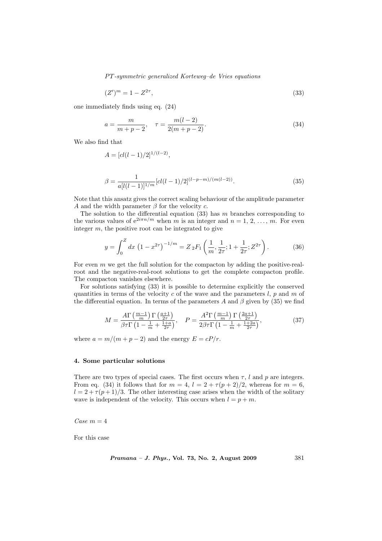$$
(Z')^m = 1 - Z^{2\tau},\tag{33}
$$

one immediately finds using eq. (24)

$$
a = \frac{m}{m+p-2}, \quad \tau = \frac{m(l-2)}{2(m+p-2)}.
$$
\n(34)

We also find that

$$
A = [cl(l-1)/2]^{1/(l-2)},
$$
  
\n
$$
\beta = \frac{1}{a[l(l-1)]^{1/m}} [cl(l-1)/2]^{(l-p-m)/(m(l-2))}.
$$
\n(35)

Note that this ansatz gives the correct scaling behaviour of the amplitude parameter A and the width parameter  $\beta$  for the velocity c.

The solution to the differential equation  $(33)$  has m branches corresponding to the various values of  $e^{2i\pi n/m}$  when m is an integer and  $n = 1, 2, ..., m$ . For even integer  $m$ , the positive root can be integrated to give

$$
y = \int_0^Z dx \, (1 - x^{2\tau})^{-1/m} = Z \, {}_2F_1\left(\frac{1}{m}, \frac{1}{2\tau}; 1 + \frac{1}{2\tau}; Z^{2\tau}\right). \tag{36}
$$

For even  $m$  we get the full solution for the compacton by adding the positive-realroot and the negative-real-root solutions to get the complete compacton profile. The compacton vanishes elsewhere.

For solutions satisfying (33) it is possible to determine explicitly the conserved quantities in terms of the velocity c of the wave and the parameters l, p and m of the differential equation. In terms of the parameters A and  $\beta$  given by (35) we find

$$
M = \frac{A\Gamma\left(\frac{m-1}{m}\right)\Gamma\left(\frac{a+1}{2\tau}\right)}{\beta\tau\Gamma\left(1-\frac{1}{m}+\frac{1+a}{2\tau}\right)}, \quad P = \frac{A^2\Gamma\left(\frac{m-1}{m}\right)\Gamma\left(\frac{2a+1}{2\tau}\right)}{2\beta\tau\Gamma\left(1-\frac{1}{m}+\frac{1+2a}{2\tau}\right)},\tag{37}
$$

where  $a = m/(m + p - 2)$  and the energy  $E = cP/r$ .

#### 4. Some particular solutions

There are two types of special cases. The first occurs when  $\tau$ , l and p are integers. From eq. (34) it follows that for  $m = 4$ ,  $l = 2 + \tau (p + 2)/2$ , whereas for  $m = 6$ ,  $l = 2 + \tau (p+1)/3$ . The other interesting case arises when the width of the solitary wave is independent of the velocity. This occurs when  $l = p + m$ .

Case  $m = 4$ 

For this case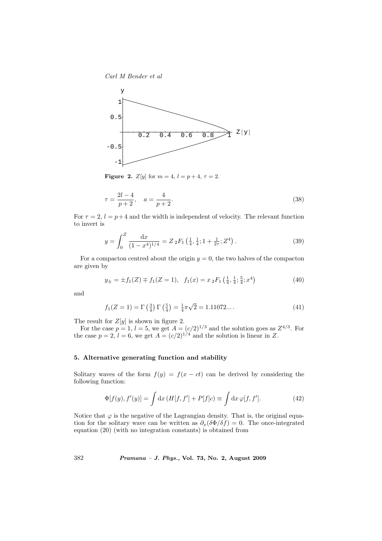

**Figure 2.**  $Z[y]$  for  $m = 4$ ,  $l = p + 4$ ,  $\tau = 2$ .

$$
\tau = \frac{2l - 4}{p + 2}, \quad a = \frac{4}{p + 2}.
$$
\n(38)

For  $\tau = 2$ ,  $l = p+4$  and the width is independent of velocity. The relevant function to invert is

$$
y = \int_0^Z \frac{\mathrm{d}x}{(1 - x^4)^{1/4}} = Z \, _2F_1\left(\frac{1}{4}, \frac{1}{4}; 1 + \frac{1}{2\tau}; Z^4\right). \tag{39}
$$

For a compacton centred about the origin  $y = 0$ , the two halves of the compacton are given by

$$
y_{\pm} = \pm f_1(Z) \mp f_1(Z = 1), \quad f_1(x) = x \, {}_2F_1\left(\frac{1}{4}, \frac{1}{4}; \frac{5}{4}; x^4\right) \tag{40}
$$

and

$$
f_1(Z=1) = \Gamma\left(\frac{3}{4}\right) \Gamma\left(\frac{5}{4}\right) = \frac{1}{4}\pi\sqrt{2} = 1.11072...
$$
 (41)

The result for  $Z[y]$  is shown in figure 2.

For the case  $p = 1$ ,  $l = 5$ , we get  $A = (c/2)^{1/3}$  and the solution goes as  $Z^{4/3}$ . For the case  $p = 2$ ,  $l = 6$ , we get  $A = (c/2)^{1/4}$  and the solution is linear in Z.

# 5. Alternative generating function and stability

Solitary waves of the form  $f(y) = f(x - ct)$  can be derived by considering the following function:

$$
\Phi[f(y), f'(y)] = \int \mathrm{d}x \left( H[f, f'] + P[f]c \right) \equiv \int \mathrm{d}x \,\varphi[f, f'].\tag{42}
$$

Notice that  $\varphi$  is the negative of the Lagrangian density. That is, the original equation for the solitary wave can be written as  $\partial_x(\delta\Phi/\delta f) = 0$ . The once-integrated equation (20) (with no integration constants) is obtained from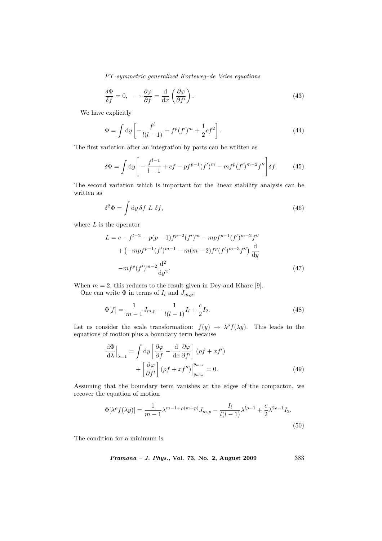$$
\frac{\delta \Phi}{\delta f} = 0, \quad \to \frac{\partial \varphi}{\partial f} = \frac{\mathrm{d}}{\mathrm{d}x} \left( \frac{\partial \varphi}{\partial f'} \right). \tag{43}
$$

We have explicitly

$$
\Phi = \int dy \left[ -\frac{f^l}{l(l-1)} + f^p(f')^m + \frac{1}{2}cf^2 \right].
$$
\n(44)

The first variation after an integration by parts can be written as

$$
\delta \Phi = \int \mathrm{d}y \Bigg[ -\frac{f^{l-1}}{l-1} + cf - pf^{p-1}(f')^m - mf^p(f')^{m-2}f'' \Bigg] \delta f. \tag{45}
$$

The second variation which is important for the linear stability analysis can be written as

$$
\delta^2 \Phi = \int \mathrm{d}y \,\delta f \, L \,\delta f,\tag{46}
$$

where  $L$  is the operator

$$
L = c - f^{l-2} - p(p-1)f^{p-2}(f')^m - mpf^{p-1}(f')^{m-2}f''
$$
  
+ 
$$
(-mpf^{p-1}(f')^{m-1} - m(m-2)f^p(f')^{m-3}f'') \frac{d}{dy}
$$
  
- 
$$
-mf^p(f')^{m-2} \frac{d^2}{dy^2}.
$$
 (47)

When  $m = 2$ , this reduces to the result given in Dey and Khare [9].

One can write  $\Phi$  in terms of  $I_l$  and  $J_{m,p}$ :

$$
\Phi[f] = \frac{1}{m-1} J_{m,p} - \frac{1}{l(l-1)} I_l + \frac{c}{2} I_2.
$$
\n(48)

Let us consider the scale transformation:  $f(y) \to \lambda^{\rho} f(\lambda y)$ . This leads to the equations of motion plus a boundary term because

$$
\frac{\mathrm{d}\Phi}{\mathrm{d}\lambda}\Big|_{\lambda=1} = \int \mathrm{d}y \left[ \frac{\partial \varphi}{\partial f} - \frac{\mathrm{d}}{\mathrm{d}x} \frac{\partial \varphi}{\partial f'} \right] (\rho f + x f') + \left[ \frac{\partial \varphi}{\partial f'} \right] (\rho f + x f'') \Big|_{y_{\text{min}}}^{y_{\text{max}}} = 0. \tag{49}
$$

Assuming that the boundary term vanishes at the edges of the compacton, we recover the equation of motion

$$
\Phi[\lambda^{\rho}f(\lambda y)] = \frac{1}{m-1} \lambda^{m-1+\rho(m+p)} J_{m,p} - \frac{I_l}{l(l-1)} \lambda^{l\rho-1} + \frac{c}{2} \lambda^{2\rho-1} I_2.
$$
\n(50)

The condition for a minimum is

Pramana – J. Phys., Vol. 73, No. 2, August 2009 383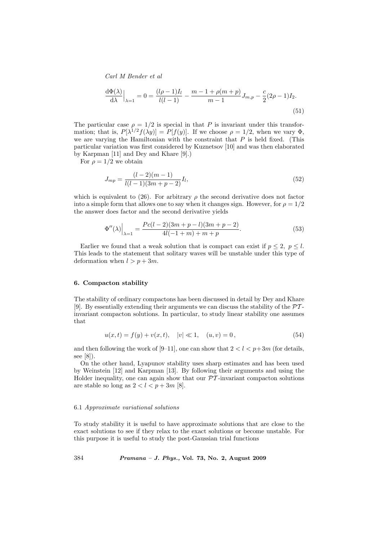$$
\frac{d\Phi(\lambda)}{d\lambda}\Big|_{\lambda=1} = 0 = \frac{(l\rho - 1)I_l}{l(l-1)} - \frac{m - 1 + \rho(m+p)}{m-1}J_{m,p} - \frac{c}{2}(2\rho - 1)I_2.
$$
\n(51)

The particular case  $\rho = 1/2$  is special in that P is invariant under this transformation; that is,  $P[\lambda^{1/2} f(\lambda y)] = P[f(y)]$ . If we choose  $\rho = 1/2$ , when we vary  $\Phi$ , we are varying the Hamiltonian with the constraint that  $P$  is held fixed. (This particular variation was first considered by Kuznetsov [10] and was then elaborated by Karpman [11] and Dey and Khare [9].)

For  $\rho = 1/2$  we obtain

$$
J_{mp} = \frac{(l-2)(m-1)}{l(l-1)(3m+p-2)}I_l,
$$
\n(52)

which is equivalent to (26). For arbitrary  $\rho$  the second derivative does not factor into a simple form that allows one to say when it changes sign. However, for  $\rho = 1/2$ the answer does factor and the second derivative yields

$$
\Phi''(\lambda)\Big|_{\lambda=1} = \frac{Pc(l-2)(3m+p-l)(3m+p-2)}{4l(-1+m)+m+p}.\tag{53}
$$

Earlier we found that a weak solution that is compact can exist if  $p \leq 2$ ,  $p \leq l$ . This leads to the statement that solitary waves will be unstable under this type of deformation when  $l > p + 3m$ .

#### 6. Compacton stability

The stability of ordinary compactons has been discussed in detail by Dey and Khare [9]. By essentially extending their arguments we can discuss the stability of the  $\mathcal{P}\mathcal{T}$ invariant compacton solutions. In particular, to study linear stability one assumes that

$$
u(x,t) = f(y) + v(x,t), \quad |v| \ll 1, \quad (u,v) = 0,
$$
\n(54)

and then following the work of [9–11], one can show that  $2 < l < p+3m$  (for details, see [8]).

On the other hand, Lyapunov stability uses sharp estimates and has been used by Weinstein [12] and Karpman [13]. By following their arguments and using the Holder inequality, one can again show that our  $\mathcal{P}\mathcal{T}$ -invariant compacton solutions are stable so long as  $2 < l < p + 3m$  [8].

#### 6.1 Approximate variational solutions

To study stability it is useful to have approximate solutions that are close to the exact solutions to see if they relax to the exact solutions or become unstable. For this purpose it is useful to study the post-Gaussian trial functions